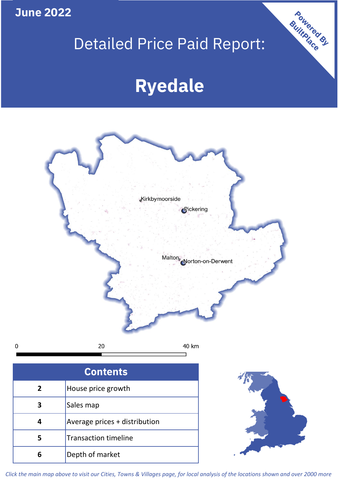**June 2022**

 $\mathbf 0$ 

# Detailed Price Paid Report:

# **Ryedale**



| <b>Contents</b> |                               |  |  |
|-----------------|-------------------------------|--|--|
| $\overline{2}$  | House price growth            |  |  |
| З               | Sales map                     |  |  |
|                 | Average prices + distribution |  |  |
| 5               | <b>Transaction timeline</b>   |  |  |
|                 | Depth of market               |  |  |



Powered By

*Click the main map above to visit our Cities, Towns & Villages page, for local analysis of the locations shown and over 2000 more*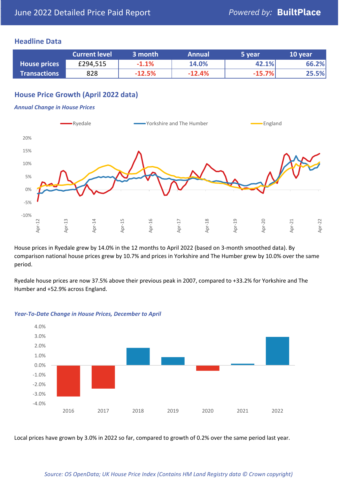### **Headline Data**

|                     | <b>Current level</b> | 3 month  | <b>Annual</b> | 5 year   | 10 year |
|---------------------|----------------------|----------|---------------|----------|---------|
| <b>House prices</b> | £294,515             | $-1.1%$  | 14.0%         | 42.1%    | 66.2%   |
| <b>Transactions</b> | 828                  | $-12.5%$ | $-12.4%$      | $-15.7%$ | 25.5%   |

# **House Price Growth (April 2022 data)**

#### *Annual Change in House Prices*



House prices in Ryedale grew by 14.0% in the 12 months to April 2022 (based on 3-month smoothed data). By comparison national house prices grew by 10.7% and prices in Yorkshire and The Humber grew by 10.0% over the same period.

Ryedale house prices are now 37.5% above their previous peak in 2007, compared to +33.2% for Yorkshire and The Humber and +52.9% across England.



#### *Year-To-Date Change in House Prices, December to April*

Local prices have grown by 3.0% in 2022 so far, compared to growth of 0.2% over the same period last year.

#### *Source: OS OpenData; UK House Price Index (Contains HM Land Registry data © Crown copyright)*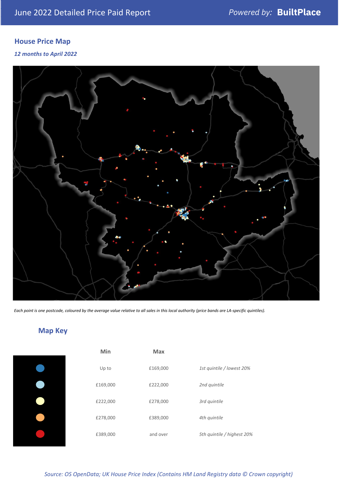# **House Price Map**

*12 months to April 2022*



*Each point is one postcode, coloured by the average value relative to all sales in this local authority (price bands are LA-specific quintiles).*

# **Map Key**

| Min      | Max      |                            |
|----------|----------|----------------------------|
| Up to    | £169,000 | 1st quintile / lowest 20%  |
| £169,000 | £222,000 | 2nd quintile               |
| £222,000 | £278,000 | 3rd quintile               |
| £278,000 | £389,000 | 4th quintile               |
| £389,000 | and over | 5th quintile / highest 20% |
|          |          |                            |

| Jp to  | £169,000 | 1st quintile / lowest 20%  |
|--------|----------|----------------------------|
| 59,000 | £222,000 | 2nd quintile               |
| 22,000 | £278,000 | 3rd quintile               |
| 78,000 | £389,000 | 4th quintile               |
| 39,000 | and over | 5th quintile / highest 209 |

*Source: OS OpenData; UK House Price Index (Contains HM Land Registry data © Crown copyright)*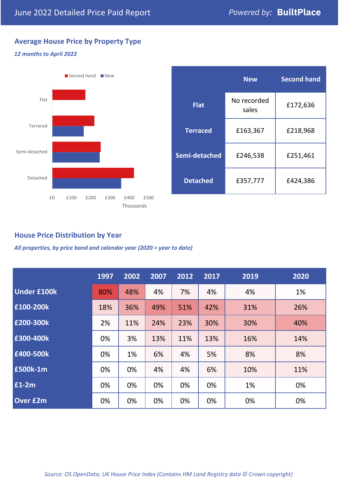# **Average House Price by Property Type**

#### *12 months to April 2022*



|                 | <b>New</b>           | <b>Second hand</b> |  |  |
|-----------------|----------------------|--------------------|--|--|
| <b>Flat</b>     | No recorded<br>sales | £172,636           |  |  |
| <b>Terraced</b> | £163,367             | £218,968           |  |  |
| Semi-detached   | £246,538             | £251,461           |  |  |
| <b>Detached</b> | £357,777             | £424,386           |  |  |

# **House Price Distribution by Year**

*All properties, by price band and calendar year (2020 = year to date)*

|                    | 1997 | 2002 | 2007 | 2012 | 2017 | 2019 | 2020 |
|--------------------|------|------|------|------|------|------|------|
| <b>Under £100k</b> | 80%  | 48%  | 4%   | 7%   | 4%   | 4%   | 1%   |
| £100-200k          | 18%  | 36%  | 49%  | 51%  | 42%  | 31%  | 26%  |
| E200-300k          | 2%   | 11%  | 24%  | 23%  | 30%  | 30%  | 40%  |
| £300-400k          | 0%   | 3%   | 13%  | 11%  | 13%  | 16%  | 14%  |
| £400-500k          | 0%   | 1%   | 6%   | 4%   | 5%   | 8%   | 8%   |
| <b>£500k-1m</b>    | 0%   | 0%   | 4%   | 4%   | 6%   | 10%  | 11%  |
| £1-2m              | 0%   | 0%   | 0%   | 0%   | 0%   | 1%   | 0%   |
| <b>Over £2m</b>    | 0%   | 0%   | 0%   | 0%   | 0%   | 0%   | 0%   |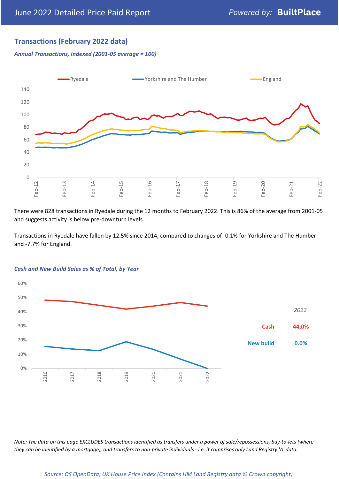### **Transactions (February 2022 data)**

*Annual Transactions, Indexed (2001-05 average = 100)*



There were 828 transactions in Ryedale during the 12 months to February 2022. This is 86% of the average from 2001-05 and suggests activity is below pre-downturn levels.

Transactions in Ryedale have fallen by 12.5% since 2014, compared to changes of -0.1% for Yorkshire and The Humber and -7.7% for England.



#### *Cash and New Build Sales as % of Total, by Year*

*Note: The data on this page EXCLUDES transactions identified as transfers under a power of sale/repossessions, buy-to-lets (where they can be identified by a mortgage), and transfers to non-private individuals - i.e. it comprises only Land Registry 'A' data.*